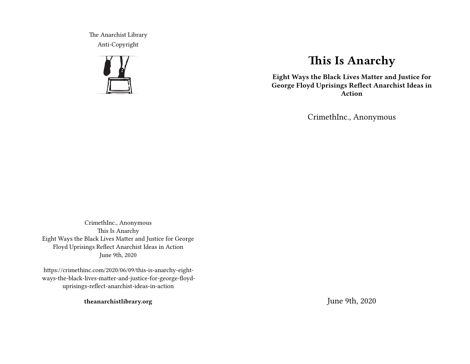The Anarchist Library Anti-Copyright



# **This Is Anarchy**

**Eight Ways the Black Lives Matter and Justice for George Floyd Uprisings Reflect Anarchist Ideas in Action**

CrimethInc., Anonymous

CrimethInc., Anonymous This Is Anarchy Eight Ways the Black Lives Matter and Justice for George Floyd Uprisings Reflect Anarchist Ideas in Action June 9th, 2020

https://crimethinc.com/2020/06/09/this-is-anarchy-eightways-the-black-lives-matter-and-justice-for-george-floyduprisings-reflect-anarchist-ideas-in-action

**theanarchistlibrary.org**

June 9th, 2020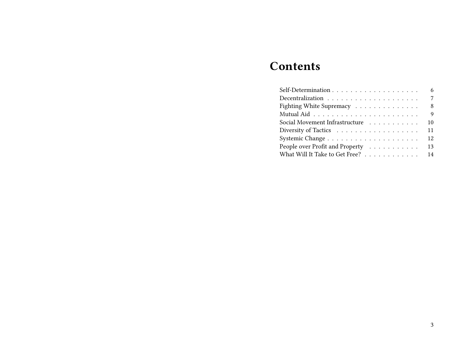# **Contents**

|                                 | 6  |
|---------------------------------|----|
|                                 | 7  |
| Fighting White Supremacy        | 8  |
|                                 | 9  |
| Social Movement Infrastructure  | 10 |
| Diversity of Tactics            | 11 |
|                                 | 12 |
| People over Profit and Property | 13 |
| What Will It Take to Get Free?  | 14 |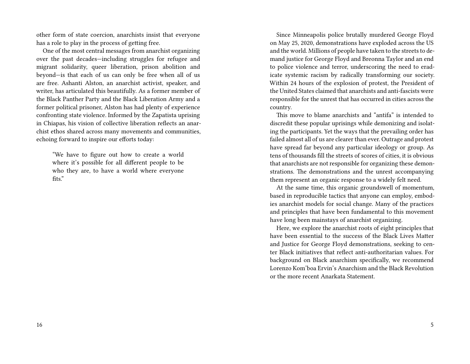other form of state coercion, anarchists insist that everyone has a role to play in the process of getting free.

One of the most central messages from anarchist organizing over the past decades—including struggles for refugee and migrant solidarity, queer liberation, prison abolition and beyond—is that each of us can only be free when all of us are free. Ashanti Alston, an anarchist activist, speaker, and writer, has articulated this beautifully. As a former member of the Black Panther Party and the Black Liberation Army and a former political prisoner, Alston has had plenty of experience confronting state violence. Informed by the Zapatista uprising in Chiapas, his vision of collective liberation reflects an anarchist ethos shared across many movements and communities, echoing forward to inspire our efforts today:

"We have to figure out how to create a world where it's possible for all different people to be who they are, to have a world where everyone fits."

Since Minneapolis police brutally murdered George Floyd on May 25, 2020, demonstrations have exploded across the US and the world. Millions of people have taken to the streets to demand justice for George Floyd and Breonna Taylor and an end to police violence and terror, underscoring the need to eradicate systemic racism by radically transforming our society. Within 24 hours of the explosion of protest, the President of the United States claimed that anarchists and anti-fascists were responsible for the unrest that has occurred in cities across the country.

This move to blame anarchists and "antifa" is intended to discredit these popular uprisings while demonizing and isolating the participants. Yet the ways that the prevailing order has failed almost all of us are clearer than ever. Outrage and protest have spread far beyond any particular ideology or group. As tens of thousands fill the streets of scores of cities, it is obvious that anarchists are not responsible for organizing these demonstrations. The demonstrations and the unrest accompanying them represent an organic response to a widely felt need.

At the same time, this organic groundswell of momentum, based in reproducible tactics that anyone can employ, embodies anarchist models for social change. Many of the practices and principles that have been fundamental to this movement have long been mainstays of anarchist organizing.

Here, we explore the anarchist roots of eight principles that have been essential to the success of the Black Lives Matter and Justice for George Floyd demonstrations, seeking to center Black initiatives that reflect anti-authoritarian values. For background on Black anarchism specifically, we recommend Lorenzo Kom'boa Ervin's Anarchism and the Black Revolution or the more recent Anarkata Statement.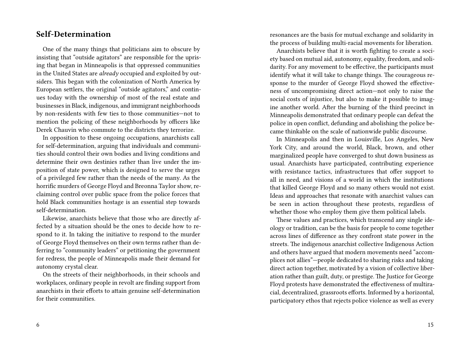#### **Self-Determination**

One of the many things that politicians aim to obscure by insisting that "outside agitators" are responsible for the uprising that began in Minneapolis is that oppressed communities in the United States are *already* occupied and exploited by outsiders. This began with the colonization of North America by European settlers, the original "outside agitators," and continues today with the ownership of most of the real estate and businesses in Black, indigenous, and immigrant neighborhoods by non-residents with few ties to those communities—not to mention the policing of these neighborhoods by officers like Derek Chauvin who commute to the districts they terrorize.

In opposition to these ongoing occupations, anarchists call for self-determination, arguing that individuals and communities should control their own bodies and living conditions and determine their own destinies rather than live under the imposition of state power, which is designed to serve the urges of a privileged few rather than the needs of the many. As the horrific murders of George Floyd and Breonna Taylor show, reclaiming control over public space from the police forces that hold Black communities hostage is an essential step towards self-determination.

Likewise, anarchists believe that those who are directly affected by a situation should be the ones to decide how to respond to it. In taking the initiative to respond to the murder of George Floyd themselves on their own terms rather than deferring to "community leaders" or petitioning the government for redress, the people of Minneapolis made their demand for autonomy crystal clear.

On the streets of their neighborhoods, in their schools and workplaces, ordinary people in revolt are finding support from anarchists in their efforts to attain genuine self-determination for their communities.

resonances are the basis for mutual exchange and solidarity in the process of building multi-racial movements for liberation.

Anarchists believe that it is worth fighting to create a society based on mutual aid, autonomy, equality, freedom, and solidarity. For any movement to be effective, the participants must identify what it will take to change things. The courageous response to the murder of George Floyd showed the effectiveness of uncompromising direct action—not only to raise the social costs of injustice, but also to make it possible to imagine another world. After the burning of the third precinct in Minneapolis demonstrated that ordinary people can defeat the police in open conflict, defunding and abolishing the police became thinkable on the scale of nationwide public discourse.

In Minneapolis and then in Louisville, Los Angeles, New York City, and around the world, Black, brown, and other marginalized people have converged to shut down business as usual. Anarchists have participated, contributing experience with resistance tactics, infrastructures that offer support to all in need, and visions of a world in which the institutions that killed George Floyd and so many others would not exist. Ideas and approaches that resonate with anarchist values can be seen in action throughout these protests, regardless of whether those who employ them give them political labels.

These values and practices, which transcend any single ideology or tradition, can be the basis for people to come together across lines of difference as they confront state power in the streets. The indigenous anarchist collective Indigenous Action and others have argued that modern movements need "accomplices not allies"—people dedicated to sharing risks and taking direct action together, motivated by a vision of collective liberation rather than guilt, duty, or prestige. The Justice for George Floyd protests have demonstrated the effectiveness of multiracial, decentralized, grassroots efforts. Informed by a horizontal, participatory ethos that rejects police violence as well as every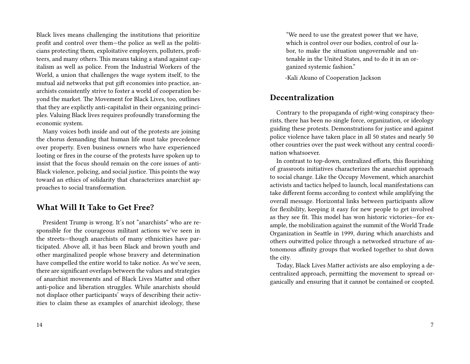Black lives means challenging the institutions that prioritize profit and control over them—the police as well as the politicians protecting them, exploitative employers, polluters, profiteers, and many others. This means taking a stand against capitalism as well as police. From the Industrial Workers of the World, a union that challenges the wage system itself, to the mutual aid networks that put gift economies into practice, anarchists consistently strive to foster a world of cooperation beyond the market. The Movement for Black Lives, too, outlines that they are explictly anti-capitalist in their organizing principles. Valuing Black lives requires profoundly transforming the economic system.

Many voices both inside and out of the protests are joining the chorus demanding that human life must take precedence over property. Even business owners who have experienced looting or fires in the course of the protests have spoken up to insist that the focus should remain on the core issues of anti-Black violence, policing, and social justice. This points the way toward an ethics of solidarity that characterizes anarchist approaches to social transformation.

# **What Will It Take to Get Free?**

President Trump is wrong. It's not "anarchists" who are responsible for the courageous militant actions we've seen in the streets—though anarchists of many ethnicities have participated. Above all, it has been Black and brown youth and other marginalized people whose bravery and determination have compelled the entire world to take notice. As we've seen, there are significant overlaps between the values and strategies of anarchist movements and of Black Lives Matter and other anti-police and liberation struggles. While anarchists should not displace other participants' ways of describing their activities to claim these as examples of anarchist ideology, these

"We need to use the greatest power that we have, which is control over our bodies, control of our labor, to make the situation ungovernable and untenable in the United States, and to do it in an organized systemic fashion."

-Kali Akuno of Cooperation Jackson

#### **Decentralization**

Contrary to the propaganda of right-wing conspiracy theorists, there has been no single force, organization, or ideology guiding these protests. Demonstrations for justice and against police violence have taken place in all 50 states and nearly 50 other countries over the past week without any central coordination whatsoever.

In contrast to top-down, centralized efforts, this flourishing of grassroots initiatives characterizes the anarchist approach to social change. Like the Occupy Movement, which anarchist activists and tactics helped to launch, local manifestations can take different forms according to context while amplifying the overall message. Horizontal links between participants allow for flexibility, keeping it easy for new people to get involved as they see fit. This model has won historic victories—for example, the mobilization against the summit of the World Trade Organization in Seattle in 1999, during which anarchists and others outwitted police through a networked structure of autonomous affinity groups that worked together to shut down the city.

Today, Black Lives Matter activists are also employing a decentralized approach, permitting the movement to spread organically and ensuring that it cannot be contained or coopted.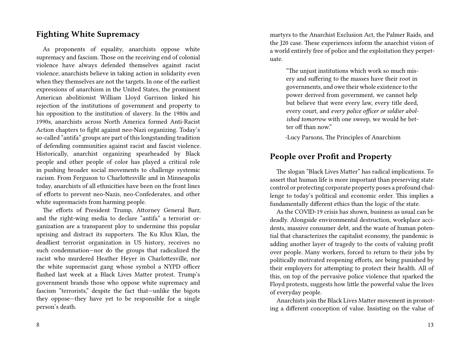# **Fighting White Supremacy**

As proponents of equality, anarchists oppose white supremacy and fascism. Those on the receiving end of colonial violence have always defended themselves against racist violence; anarchists believe in taking action in solidarity even when they themselves are not the targets. In one of the earliest expressions of anarchism in the United States, the prominent American abolitionist William Lloyd Garrison linked his rejection of the institutions of government and property to his opposition to the institution of slavery. In the 1980s and 1990s, anarchists across North America formed Anti-Racist Action chapters to fight against neo-Nazi organizing. Today's so-called "antifa" groups are part of this longstanding tradition of defending communities against racist and fascist violence. Historically, anarchist organizing spearheaded by Black people and other people of color has played a critical role in pushing broader social movements to challenge systemic racism. From Ferguson to Charlottesville and in Minneapolis today, anarchists of all ethnicities have been on the front lines of efforts to prevent neo-Nazis, neo-Confederates, and other white supremacists from harming people.

The efforts of President Trump, Attorney General Barr, and the right-wing media to declare "antifa" a terrorist organization are a transparent ploy to undermine this popular uprising and distract its supporters. The Ku Klux Klan, the deadliest terrorist organization in US history, receives no such condemnation—nor do the groups that radicalized the racist who murdered Heather Heyer in Charlottesville, nor the white supremacist gang whose symbol a NYPD officer flashed last week at a Black Lives Matter protest. Trump's government brands those who oppose white supremacy and fascism "terrorists," despite the fact that—unlike the bigots they oppose—they have yet to be responsible for a single person's death.

martyrs to the Anarchist Exclusion Act, the Palmer Raids, and the J20 case. These experiences inform the anarchist vision of a world entirely free of police and the exploitation they perpetuate.

> "The unjust institutions which work so much misery and suffering to the masses have their root in governments, and owe their whole existence to the power derived from government, we cannot help but believe that were every law, every title deed, every court, and *every police officer or soldier abolished tomorrow* with one sweep, we would be better off than now."

-Lucy Parsons, The Principles of Anarchism

# **People over Profit and Property**

The slogan "Black Lives Matter" has radical implications. To assert that human life is more important than preserving state control or protecting corporate property poses a profound challenge to today's political and economic order. This implies a fundamentally different ethics than the logic of the state.

As the COVID-19 crisis has shown, business as usual can be deadly. Alongside environmental destruction, workplace accidents, massive consumer debt, and the waste of human potential that characterizes the capitalist economy, the pandemic is adding another layer of tragedy to the costs of valuing profit over people. Many workers, forced to return to their jobs by politically motivated reopening efforts, are being punished by their employers for attempting to protect their health. All of this, on top of the pervasive police violence that sparked the Floyd protests, suggests how little the powerful value the lives of everyday people.

Anarchists join the Black Lives Matter movement in promoting a different conception of value. Insisting on the value of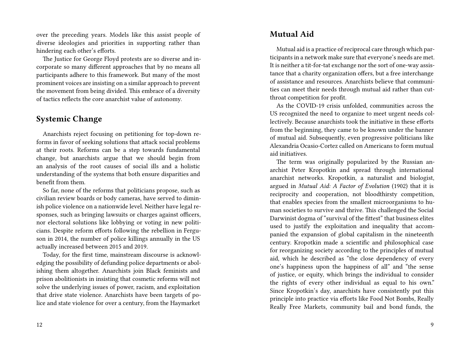over the preceding years. Models like this assist people of diverse ideologies and priorities in supporting rather than hindering each other's efforts.

The Justice for George Floyd protests are so diverse and incorporate so many different approaches that by no means all participants adhere to this framework. But many of the most prominent voices are insisting on a similar approach to prevent the movement from being divided. This embrace of a diversity of tactics reflects the core anarchist value of autonomy.

### **Systemic Change**

Anarchists reject focusing on petitioning for top-down reforms in favor of seeking solutions that attack social problems at their roots. Reforms can be a step towards fundamental change, but anarchists argue that we should begin from an analysis of the root causes of social ills and a holistic understanding of the systems that both ensure disparities and benefit from them.

So far, none of the reforms that politicians propose, such as civilian review boards or body cameras, have served to diminish police violence on a nationwide level. Neither have legal responses, such as bringing lawsuits or charges against officers, nor electoral solutions like lobbying or voting in new politicians. Despite reform efforts following the rebellion in Ferguson in 2014, the number of police killings annually in the US actually increased between 2015 and 2019.

Today, for the first time, mainstream discourse is acknowledging the possibility of defunding police departments or abolishing them altogether. Anarchists join Black feminists and prison abolitionists in insisting that cosmetic reforms will not solve the underlying issues of power, racism, and exploitation that drive state violence. Anarchists have been targets of police and state violence for over a century, from the Haymarket

#### **Mutual Aid**

Mutual aid is a practice of reciprocal care through which participants in a network make sure that everyone's needs are met. It is neither a tit-for-tat exchange nor the sort of one-way assistance that a charity organization offers, but a free interchange of assistance and resources. Anarchists believe that communities can meet their needs through mutual aid rather than cutthroat competition for profit.

As the COVID-19 crisis unfolded, communities across the US recognized the need to organize to meet urgent needs collectively. Because anarchists took the initiative in these efforts from the beginning, they came to be known under the banner of mutual aid. Subsequently, even progressive politicians like Alexandria Ocasio-Cortez called on Americans to form mutual aid initiatives.

The term was originally popularized by the Russian anarchist Peter Kropotkin and spread through international anarchist networks. Kropotkin, a naturalist and biologist, argued in *Mutual Aid: A Factor of Evolution* (1902) that it is reciprocity and cooperation, not bloodthirsty competition, that enables species from the smallest microorganisms to human societies to survive and thrive. This challenged the Social Darwinist dogma of "survival of the fittest" that business elites used to justify the exploitation and inequality that accompanied the expansion of global capitalism in the nineteenth century. Kropotkin made a scientific and philosophical case for reorganizing society according to the principles of mutual aid, which he described as "the close dependency of every one's happiness upon the happiness of all" and "the sense of justice, or equity, which brings the individual to consider the rights of every other individual as equal to his own." Since Kropotkin's day, anarchists have consistently put this principle into practice via efforts like Food Not Bombs, Really Really Free Markets, community bail and bond funds, the